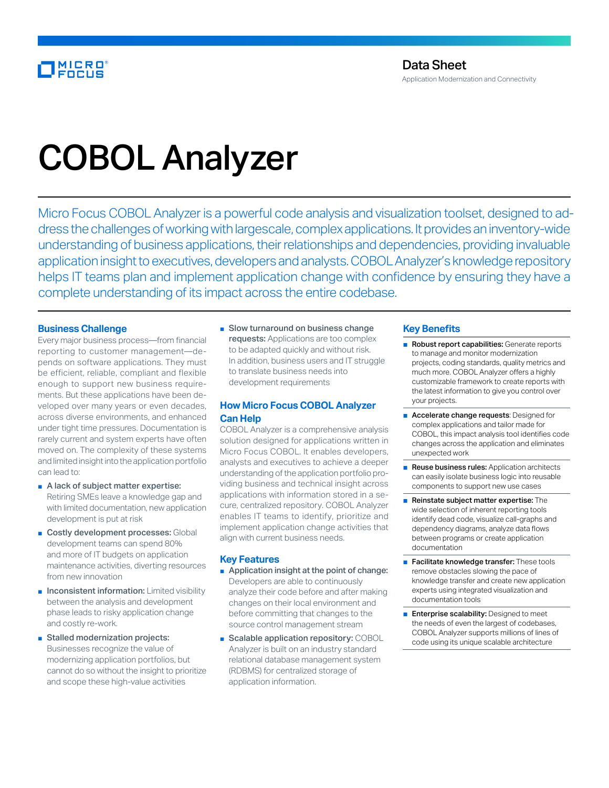# COBOL Analyzer

Micro Focus COBOL Analyzer is a powerful code analysis and visualization toolset, designed to address the challenges of working with largescale, complex applications. It provides an inventory-wide understanding of business applications, their relationships and dependencies, providing invaluable application insight to executives, developers and analysts. COBOL Analyzer's knowledge repository helps IT teams plan and implement application change with confidence by ensuring they have a complete understanding of its impact across the entire codebase.

### **Business Challenge**

Every major business process—from financial reporting to customer management—depends on software applications. They must be efficient, reliable, compliant and flexible enough to support new business requirements. But these applications have been developed over many years or even decades, across diverse environments, and enhanced under tight time pressures. Documentation is rarely current and system experts have often moved on. The complexity of these systems and limited insight into the application portfolio can lead to:

- A lack of subject matter expertise: Retiring SMEs leave a knowledge gap and with limited documentation, new application development is put at risk
- Costly development processes: Global development teams can spend 80% and more of IT budgets on application maintenance activities, diverting resources from new innovation
- Inconsistent information: Limited visibility between the analysis and development phase leads to risky application change and costly re-work.
- Stalled modernization projects: Businesses recognize the value of modernizing application portfolios, but cannot do so without the insight to prioritize and scope these high-value activities

■ Slow turnaround on business change requests: Applications are too complex to be adapted quickly and without risk. In addition, business users and IT struggle to translate business needs into development requirements

## **How Micro Focus COBOL Analyzer Can Help**

COBOL Analyzer is a comprehensive analysis solution designed for applications written in Micro Focus COBOL. It enables developers, analysts and executives to achieve a deeper understanding of the application portfolio providing business and technical insight across applications with information stored in a secure, centralized repository. COBOL Analyzer enables IT teams to identify, prioritize and implement application change activities that align with current business needs.

### **Key Features**

- Application insight at the point of change: Developers are able to continuously analyze their code before and after making changes on their local environment and before committing that changes to the source control management stream
- Scalable application repository: COBOL Analyzer is built on an industry standard relational database management system (RDBMS) for centralized storage of application information.

### **Key Benefits**

- Robust report capabilities: Generate reports to manage and monitor modernization projects, coding standards, quality metrics and much more. COBOL Analyzer offers a highly customizable framework to create reports with the latest information to give you control over your projects.
- Accelerate change requests: Designed for complex applications and tailor made for COBOL, this impact analysis tool identifies code changes across the application and eliminates unexpected work
- Reuse business rules: Application architects can easily isolate business logic into reusable components to support new use cases
- Reinstate subject matter expertise: The wide selection of inherent reporting tools identify dead code, visualize call-graphs and dependency diagrams, analyze data flows between programs or create application documentation
- Facilitate knowledge transfer: These tools remove obstacles slowing the pace of knowledge transfer and create new application experts using integrated visualization and documentation tools
- Enterprise scalability: Designed to meet the needs of even the largest of codebases, COBOL Analyzer supports millions of lines of code using its unique scalable architecture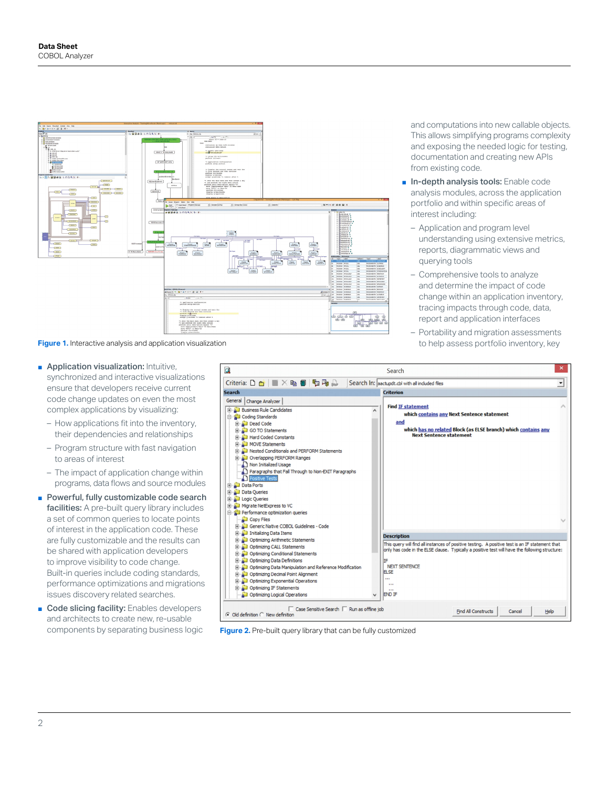

**Figure 1.** Interactive analysis and application visualization to help assess portfolio inventory, key

- Application visualization: Intuitive, synchronized and interactive visualizations ensure that developers receive current code change updates on even the most complex applications by visualizing:
	- How applications fit into the inventory, their dependencies and relationships
	- Program structure with fast navigation to areas of interest
	- The impact of application change within programs, data flows and source modules
- Powerful, fully customizable code search facilities: A pre-built query library includes a set of common queries to locate points of interest in the application code. These are fully customizable and the results can be shared with application developers to improve visibility to code change. Built-in queries include coding standards, performance optimizations and migrations issues discovery related searches.
- Code slicing facility: Enables developers and architects to create new, re-usable components by separating business logic



**Figure 2.** Pre-built query library that can be fully customized

and computations into new callable objects. This allows simplifying programs complexity and exposing the needed logic for testing, documentation and creating new APIs from existing code.

- In-depth analysis tools: Enable code analysis modules, across the application portfolio and within specific areas of interest including:
	- Application and program level understanding using extensive metrics, reports, diagrammatic views and querying tools
	- Comprehensive tools to analyze and determine the impact of code change within an application inventory, tracing impacts through code, data, report and application interfaces
	- Portability and migration assessments